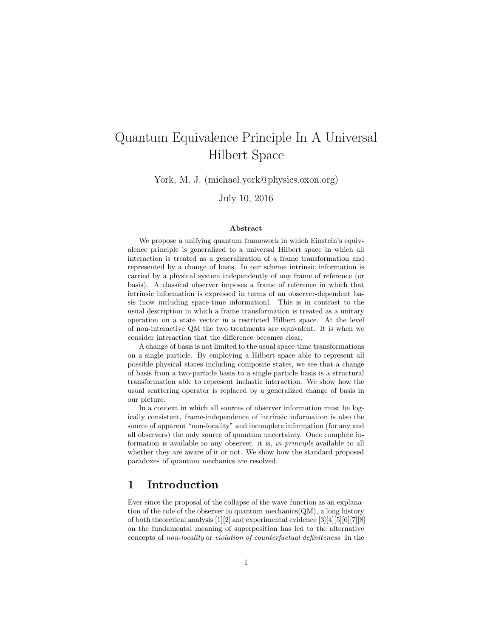# Quantum Equivalence Principle In A Universal Hilbert Space

York, M. J. (michael.york@physics.oxon.org)

July 10, 2016

### Abstract

We propose a unifying quantum framework in which Einstein's equivalence principle is generalized to a universal Hilbert space in which all interaction is treated as a generalization of a frame transformation and represented by a change of basis. In our scheme intrinsic information is carried by a physical system independently of any frame of reference (or basis). A classical observer imposes a frame of reference in which that intrinsic information is expressed in terms of an observer-dependent basis (now including space-time information). This is in contrast to the usual description in which a frame transformation is treated as a unitary operation on a state vector in a restricted Hilbert space. At the level of non-interactive QM the two treatments are equivalent. It is when we consider interaction that the difference becomes clear.

A change of basis is not limited to the usual space-time transformations on a single particle. By employing a Hilbert space able to represent all possible physical states including composite states, we see that a change of basis from a two-particle basis to a single-particle basis is a structural transformation able to represent inelastic interaction. We show how the usual scattering operator is replaced by a generalized change of basis in our picture.

In a context in which all sources of observer information must be logically consistent, frame-independence of intrinsic information is also the source of apparent "non-locality" and incomplete information (for any and all observers) the only source of quantum uncertainty. Once complete information is available to any observer, it is, in principle available to all whether they are aware of it or not. We show how the standard proposed paradoxes of quantum mechanics are resolved.

# 1 Introduction

Ever since the proposal of the collapse of the wave-function as an explanation of the role of the observer in quantum mechanics( $QM$ ), a long history of both theoretical analysis [1][2] and experimental evidence [3][4][5][6][7][8] on the fundamental meaning of superposition has led to the alternative concepts of non-locality or violation of counterfactual definiteness. In the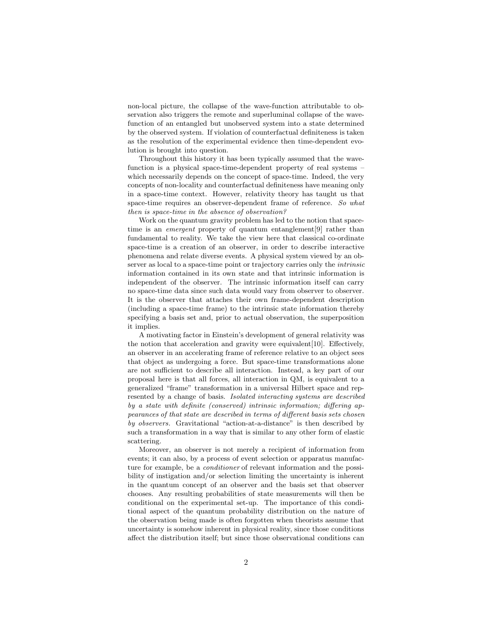non-local picture, the collapse of the wave-function attributable to observation also triggers the remote and superluminal collapse of the wavefunction of an entangled but unobserved system into a state determined by the observed system. If violation of counterfactual definiteness is taken as the resolution of the experimental evidence then time-dependent evolution is brought into question.

Throughout this history it has been typically assumed that the wavefunction is a physical space-time-dependent property of real systems – which necessarily depends on the concept of space-time. Indeed, the very concepts of non-locality and counterfactual definiteness have meaning only in a space-time context. However, relativity theory has taught us that space-time requires an observer-dependent frame of reference. So what then is space-time in the absence of observation?

Work on the quantum gravity problem has led to the notion that spacetime is an *emergent* property of quantum entanglement<sup>[9]</sup> rather than fundamental to reality. We take the view here that classical co-ordinate space-time is a creation of an observer, in order to describe interactive phenomena and relate diverse events. A physical system viewed by an observer as local to a space-time point or trajectory carries only the *intrinsic* information contained in its own state and that intrinsic information is independent of the observer. The intrinsic information itself can carry no space-time data since such data would vary from observer to observer. It is the observer that attaches their own frame-dependent description (including a space-time frame) to the intrinsic state information thereby specifying a basis set and, prior to actual observation, the superposition it implies.

A motivating factor in Einstein's development of general relativity was the notion that acceleration and gravity were equivalent[10]. Effectively, an observer in an accelerating frame of reference relative to an object sees that object as undergoing a force. But space-time transformations alone are not sufficient to describe all interaction. Instead, a key part of our proposal here is that all forces, all interaction in QM, is equivalent to a generalized "frame" transformation in a universal Hilbert space and represented by a change of basis. Isolated interacting systems are described by a state with definite (conserved) intrinsic information; differing appearances of that state are described in terms of different basis sets chosen by observers. Gravitational "action-at-a-distance" is then described by such a transformation in a way that is similar to any other form of elastic scattering.

Moreover, an observer is not merely a recipient of information from events; it can also, by a process of event selection or apparatus manufacture for example, be a *conditioner* of relevant information and the possibility of instigation and/or selection limiting the uncertainty is inherent in the quantum concept of an observer and the basis set that observer chooses. Any resulting probabilities of state measurements will then be conditional on the experimental set-up. The importance of this conditional aspect of the quantum probability distribution on the nature of the observation being made is often forgotten when theorists assume that uncertainty is somehow inherent in physical reality, since those conditions affect the distribution itself; but since those observational conditions can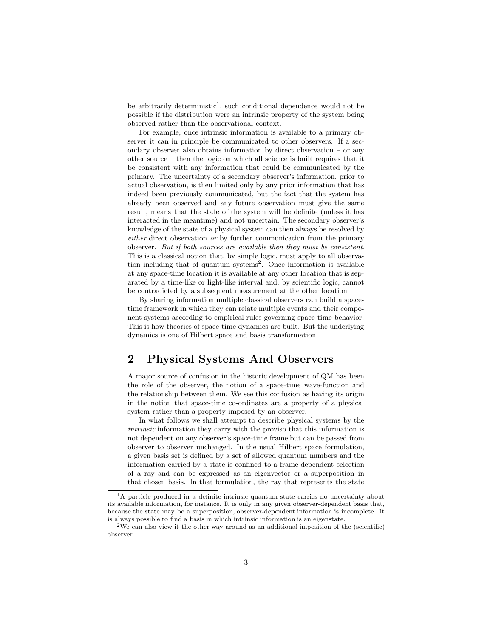be arbitrarily deterministic<sup>1</sup>, such conditional dependence would not be possible if the distribution were an intrinsic property of the system being observed rather than the observational context.

For example, once intrinsic information is available to a primary observer it can in principle be communicated to other observers. If a secondary observer also obtains information by direct observation – or any other source – then the logic on which all science is built requires that it be consistent with any information that could be communicated by the primary. The uncertainty of a secondary observer's information, prior to actual observation, is then limited only by any prior information that has indeed been previously communicated, but the fact that the system has already been observed and any future observation must give the same result, means that the state of the system will be definite (unless it has interacted in the meantime) and not uncertain. The secondary observer's knowledge of the state of a physical system can then always be resolved by either direct observation or by further communication from the primary observer. But if both sources are available then they must be consistent. This is a classical notion that, by simple logic, must apply to all observation including that of quantum systems<sup>2</sup>. Once information is available at any space-time location it is available at any other location that is separated by a time-like or light-like interval and, by scientific logic, cannot be contradicted by a subsequent measurement at the other location.

By sharing information multiple classical observers can build a spacetime framework in which they can relate multiple events and their component systems according to empirical rules governing space-time behavior. This is how theories of space-time dynamics are built. But the underlying dynamics is one of Hilbert space and basis transformation.

# 2 Physical Systems And Observers

A major source of confusion in the historic development of QM has been the role of the observer, the notion of a space-time wave-function and the relationship between them. We see this confusion as having its origin in the notion that space-time co-ordinates are a property of a physical system rather than a property imposed by an observer.

In what follows we shall attempt to describe physical systems by the intrinsic information they carry with the proviso that this information is not dependent on any observer's space-time frame but can be passed from observer to observer unchanged. In the usual Hilbert space formulation, a given basis set is defined by a set of allowed quantum numbers and the information carried by a state is confined to a frame-dependent selection of a ray and can be expressed as an eigenvector or a superposition in that chosen basis. In that formulation, the ray that represents the state

<sup>&</sup>lt;sup>1</sup>A particle produced in a definite intrinsic quantum state carries no uncertainty about its available information, for instance. It is only in any given observer-dependent basis that, because the state may be a superposition, observer-dependent information is incomplete. It is always possible to find a basis in which intrinsic information is an eigenstate.

<sup>&</sup>lt;sup>2</sup>We can also view it the other way around as an additional imposition of the (scientific) observer.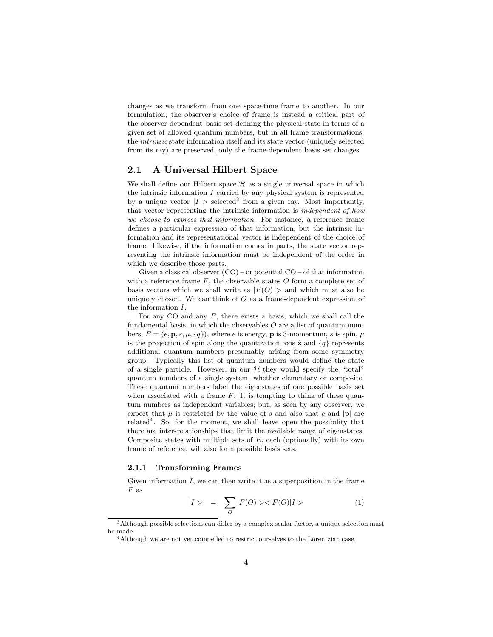changes as we transform from one space-time frame to another. In our formulation, the observer's choice of frame is instead a critical part of the observer-dependent basis set defining the physical state in terms of a given set of allowed quantum numbers, but in all frame transformations, the intrinsic state information itself and its state vector (uniquely selected from its ray) are preserved; only the frame-dependent basis set changes.

## 2.1 A Universal Hilbert Space

We shall define our Hilbert space  $\mathcal H$  as a single universal space in which the intrinsic information  $I$  carried by any physical system is represented by a unique vector  $|I\rangle$  selected<sup>3</sup> from a given ray. Most importantly, that vector representing the intrinsic information is independent of how we choose to express that information. For instance, a reference frame defines a particular expression of that information, but the intrinsic information and its representational vector is independent of the choice of frame. Likewise, if the information comes in parts, the state vector representing the intrinsic information must be independent of the order in which we describe those parts.

Given a classical observer  $(CO)$  – or potential  $CO$  – of that information with a reference frame  $F$ , the observable states  $O$  form a complete set of basis vectors which we shall write as  $|F(O) >$  and which must also be uniquely chosen. We can think of  $O$  as a frame-dependent expression of the information I.

For any CO and any  $F$ , there exists a basis, which we shall call the fundamental basis, in which the observables  $O$  are a list of quantum numbers,  $E = (e, \mathbf{p}, s, \mu, \{q\})$ , where e is energy, **p** is 3-momentum, s is spin,  $\mu$ is the projection of spin along the quantization axis  $\hat{\mathbf{z}}$  and  $\{q\}$  represents additional quantum numbers presumably arising from some symmetry group. Typically this list of quantum numbers would define the state of a single particle. However, in our  $\mathcal H$  they would specify the "total" quantum numbers of a single system, whether elementary or composite. These quantum numbers label the eigenstates of one possible basis set when associated with a frame  $F$ . It is tempting to think of these quantum numbers as independent variables; but, as seen by any observer, we expect that  $\mu$  is restricted by the value of s and also that e and  $|\mathbf{p}|$  are related<sup>4</sup>. So, for the moment, we shall leave open the possibility that there are inter-relationships that limit the available range of eigenstates. Composite states with multiple sets of  $E$ , each (optionally) with its own frame of reference, will also form possible basis sets.

#### 2.1.1 Transforming Frames

Given information  $I$ , we can then write it as a superposition in the frame  $F$  as

$$
|I> = \sum_{O} |F(O) >< F(O)|I > \tag{1}
$$

<sup>&</sup>lt;sup>3</sup>Although possible selections can differ by a complex scalar factor, a unique selection must be made.

 $4$ Although we are not yet compelled to restrict ourselves to the Lorentzian case.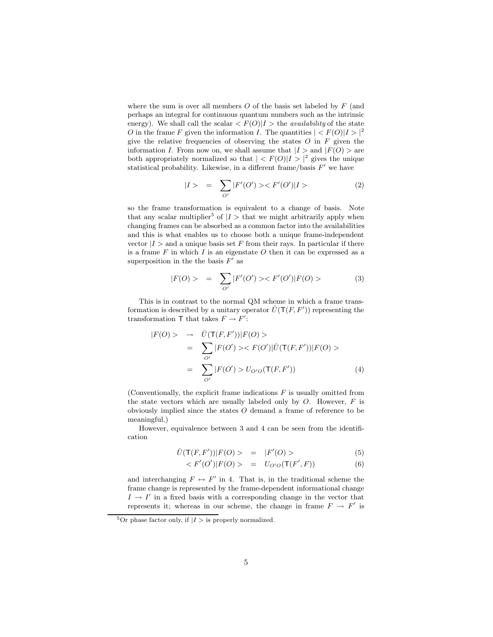where the sum is over all members  $O$  of the basis set labeled by  $F$  (and perhaps an integral for continuous quantum numbers such as the intrinsic energy). We shall call the scalar  $\langle F(O)|I\rangle$  the *availability* of the state O in the frame F given the information I. The quantities  $| < F(0) | I > |^2$ give the relative frequencies of observing the states  $O$  in  $F$  given the information I. From now on, we shall assume that  $|I\rangle$  and  $|F(O)\rangle$  are both appropriately normalized so that  $| < F(0) | I > |^2$  gives the unique statistical probability. Likewise, in a different frame/basis  $F'$  we have

$$
|I> = \sum_{O'} |F'(O')| > \langle F'(O')|I \rangle \tag{2}
$$

so the frame transformation is equivalent to a change of basis. Note that any scalar multiplier<sup>5</sup> of  $|I>$  that we might arbitrarily apply when changing frames can be absorbed as a common factor into the availabilities and this is what enables us to choose both a unique frame-independent vector  $|I\rangle$  and a unique basis set F from their rays. In particular if there is a frame  $F$  in which  $I$  is an eigenstate  $O$  then it can be expressed as a superposition in the the basis  $F'$  as

$$
|F(O) \rangle = \sum_{O'} |F'(O')| > F'(O')|F(O) \rangle \tag{3}
$$

This is in contrast to the normal QM scheme in which a frame transformation is described by a unitary operator  $\hat{U}(\mathsf{T}(F,F'))$  representing the transformation T that takes  $F \to F'$ :

$$
|F(O) > \rightarrow \hat{U}(T(F, F'))|F(O) >
$$
  
= 
$$
\sum_{O'} |F(O')| > F(O')|\hat{U}(T(F, F'))|F(O) >
$$
  
= 
$$
\sum_{O'} |F(O')| > U_{O'O}(T(F, F'))
$$
 (4)

(Conventionally, the explicit frame indications  $F$  is usually omitted from the state vectors which are usually labeled only by  $O$ . However,  $F$  is obviously implied since the states O demand a frame of reference to be meaningful.)

However, equivalence between 3 and 4 can be seen from the identification

$$
\hat{U}(\mathsf{T}(F,F'))|F(O) > = |F'(O) >
$$
\n<sup>(5)</sup>

$$
\langle F'(O')|F(O) \rangle = U_{O'O}(\mathsf{T}(F',F)) \tag{6}
$$

and interchanging  $F \leftrightarrow F'$  in 4. That is, in the traditional scheme the frame change is represented by the frame-dependent informational change  $I \rightarrow I'$  in a fixed basis with a corresponding change in the vector that represents it; whereas in our scheme, the change in frame  $F \to F'$  is

<sup>&</sup>lt;sup>5</sup>Or phase factor only, if  $|I>$  is properly normalized.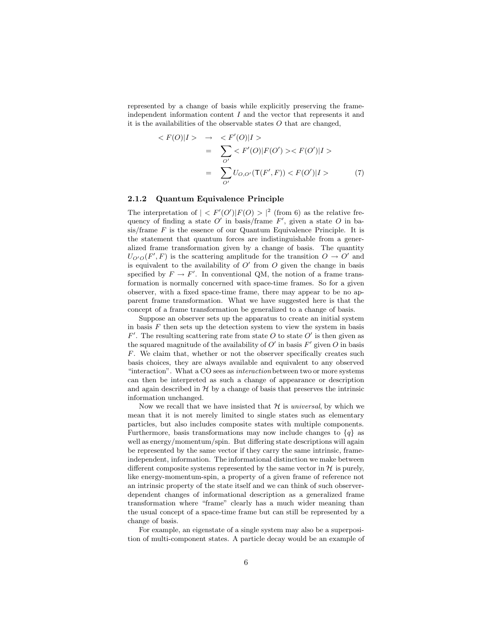represented by a change of basis while explicitly preserving the frameindependent information content  $I$  and the vector that represents it and it is the availabilities of the observable states  $O$  that are changed,

$$
\langle F(O)|I \rangle \rightarrow \langle F'(O)|I \rangle
$$
  
= 
$$
\sum_{O'} \langle F'(O)|F(O') \rangle \langle F(O')|I \rangle
$$
  
= 
$$
\sum_{O'} U_{O,O'}(T(F',F)) \langle F(O')|I \rangle
$$
 (7)

### 2.1.2 Quantum Equivalence Principle

The interpretation of  $| \langle F'(O')|F(O) \rangle |^2$  (from 6) as the relative frequency of finding a state O' in basis/frame  $F'$ , given a state O in ba $sis$  frame  $F$  is the essence of our Quantum Equivalence Principle. It is the statement that quantum forces are indistinguishable from a generalized frame transformation given by a change of basis. The quantity  $U_{O'O}(F', F)$  is the scattering amplitude for the transition  $O \to O'$  and is equivalent to the availability of  $O'$  from  $O$  given the change in basis specified by  $F \to F'$ . In conventional QM, the notion of a frame transformation is normally concerned with space-time frames. So for a given observer, with a fixed space-time frame, there may appear to be no apparent frame transformation. What we have suggested here is that the concept of a frame transformation be generalized to a change of basis.

Suppose an observer sets up the apparatus to create an initial system in basis  $F$  then sets up the detection system to view the system in basis  $F'$ . The resulting scattering rate from state O to state O' is then given as the squared magnitude of the availability of  $O'$  in basis  $F'$  given  $O$  in basis F. We claim that, whether or not the observer specifically creates such basis choices, they are always available and equivalent to any observed "interaction". What a CO sees as interaction between two or more systems can then be interpreted as such a change of appearance or description and again described in  $H$  by a change of basis that preserves the intrinsic information unchanged.

Now we recall that we have insisted that  $H$  is universal, by which we mean that it is not merely limited to single states such as elementary particles, but also includes composite states with multiple components. Furthermore, basis transformations may now include changes to  $\{q\}$  as well as energy/momentum/spin. But differing state descriptions will again be represented by the same vector if they carry the same intrinsic, frameindependent, information. The informational distinction we make between different composite systems represented by the same vector in  $H$  is purely, like energy-momentum-spin, a property of a given frame of reference not an intrinsic property of the state itself and we can think of such observerdependent changes of informational description as a generalized frame transformation where "frame" clearly has a much wider meaning than the usual concept of a space-time frame but can still be represented by a change of basis.

For example, an eigenstate of a single system may also be a superposition of multi-component states. A particle decay would be an example of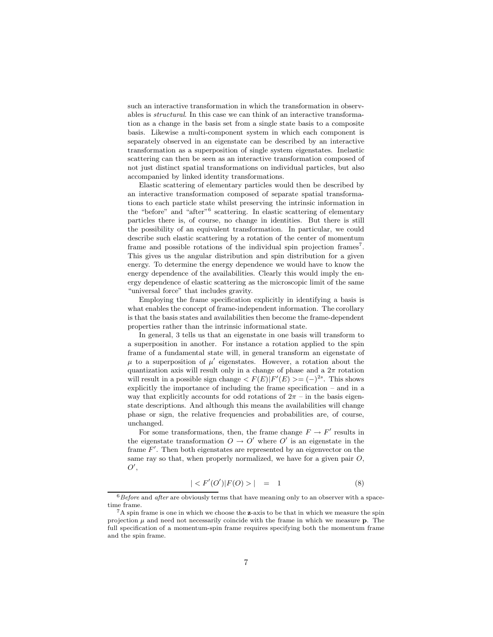such an interactive transformation in which the transformation in observables is structural. In this case we can think of an interactive transformation as a change in the basis set from a single state basis to a composite basis. Likewise a multi-component system in which each component is separately observed in an eigenstate can be described by an interactive transformation as a superposition of single system eigenstates. Inelastic scattering can then be seen as an interactive transformation composed of not just distinct spatial transformations on individual particles, but also accompanied by linked identity transformations.

Elastic scattering of elementary particles would then be described by an interactive transformation composed of separate spatial transformations to each particle state whilst preserving the intrinsic information in the "before" and "after"<sup>6</sup> scattering. In elastic scattering of elementary particles there is, of course, no change in identities. But there is still the possibility of an equivalent transformation. In particular, we could describe such elastic scattering by a rotation of the center of momentum frame and possible rotations of the individual spin projection frames<sup>7</sup>. This gives us the angular distribution and spin distribution for a given energy. To determine the energy dependence we would have to know the energy dependence of the availabilities. Clearly this would imply the energy dependence of elastic scattering as the microscopic limit of the same "universal force" that includes gravity.

Employing the frame specification explicitly in identifying a basis is what enables the concept of frame-independent information. The corollary is that the basis states and availabilities then become the frame-dependent properties rather than the intrinsic informational state.

In general, 3 tells us that an eigenstate in one basis will transform to a superposition in another. For instance a rotation applied to the spin frame of a fundamental state will, in general transform an eigenstate of  $\mu$  to a superposition of  $\mu'$  eigenstates. However, a rotation about the quantization axis will result only in a change of phase and a  $2\pi$  rotation will result in a possible sign change  $\langle F(E) | F'(E) \rangle = (-)^{2s}$ . This shows explicitly the importance of including the frame specification – and in a way that explicitly accounts for odd rotations of  $2\pi$  – in the basis eigenstate descriptions. And although this means the availabilities will change phase or sign, the relative frequencies and probabilities are, of course, unchanged.

For some transformations, then, the frame change  $F \to F'$  results in the eigenstate transformation  $O \to O'$  where  $O'$  is an eigenstate in the frame  $F'$ . Then both eigenstates are represented by an eigenvector on the same ray so that, when properly normalized, we have for a given pair  $O$ ,  $O',$ 

$$
|\langle F'(O')|F(O)\rangle| = 1 \tag{8}
$$

 $6$ Before and *after* are obviously terms that have meaning only to an observer with a spacetime frame.

 ${}^{7}$ A spin frame is one in which we choose the z-axis to be that in which we measure the spin projection  $\mu$  and need not necessarily coincide with the frame in which we measure **p**. The full specification of a momentum-spin frame requires specifying both the momentum frame and the spin frame.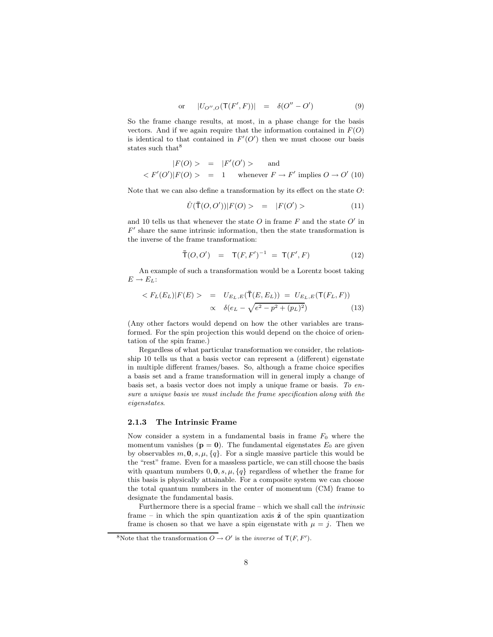or 
$$
|U_{O'',O}(\mathsf{T}(F',F))| = \delta(O''-O')
$$
 (9)

So the frame change results, at most, in a phase change for the basis vectors. And if we again require that the information contained in  $F(O)$ is identical to that contained in  $F'(O')$  then we must choose our basis states such that<sup>8</sup>

$$
|F(O) > = |F'(O')| > \text{ and}
$$
  

$$
\langle F'(O')|F(O) > = 1 \quad \text{whenever } F \to F' \text{ implies } O \to O' \text{ (10)}
$$

Note that we can also define a transformation by its effect on the state  $O$ :

$$
\hat{U}(\bar{T}(O,O'))|F(O) > = |F(O') \rangle \tag{11}
$$

and 10 tells us that whenever the state  $O$  in frame  $F$  and the state  $O'$  in  $F'$  share the same intrinsic information, then the state transformation is the inverse of the frame transformation:

$$
\bar{T}(O, O') = T(F, F')^{-1} = T(F', F) \tag{12}
$$

An example of such a transformation would be a Lorentz boost taking  $E \rightarrow E_L$ :

$$
\langle F_L(E_L)|F(E)\rangle = U_{E_L,E}(\bar{T}(E,E_L)) = U_{E_L,E}(\bar{T}(F_L,F))
$$
  
 
$$
\propto \delta(e_L - \sqrt{e^2 - p^2 + (p_L)^2})
$$
 (13)

(Any other factors would depend on how the other variables are transformed. For the spin projection this would depend on the choice of orientation of the spin frame.)

Regardless of what particular transformation we consider, the relationship 10 tells us that a basis vector can represent a (different) eigenstate in multiple different frames/bases. So, although a frame choice specifies a basis set and a frame transformation will in general imply a change of basis set, a basis vector does not imply a unique frame or basis. To ensure a unique basis we must include the frame specification along with the eigenstates.

#### 2.1.3 The Intrinsic Frame

Now consider a system in a fundamental basis in frame  $F_0$  where the momentum vanishes ( $\mathbf{p} = \mathbf{0}$ ). The fundamental eigenstates  $E_0$  are given by observables  $m, 0, s, \mu, \{q\}$ . For a single massive particle this would be the "rest" frame. Even for a massless particle, we can still choose the basis with quantum numbers  $0, 0, s, \mu, \{q\}$  regardless of whether the frame for this basis is physically attainable. For a composite system we can choose the total quantum numbers in the center of momentum (CM) frame to designate the fundamental basis.

Furthermore there is a special frame – which we shall call the *intrinsic* frame – in which the spin quantization axis  $\hat{z}$  of the spin quantization frame is chosen so that we have a spin eigenstate with  $\mu = j$ . Then we

<sup>&</sup>lt;sup>8</sup>Note that the transformation  $O \to O'$  is the *inverse* of  $T(F, F')$ .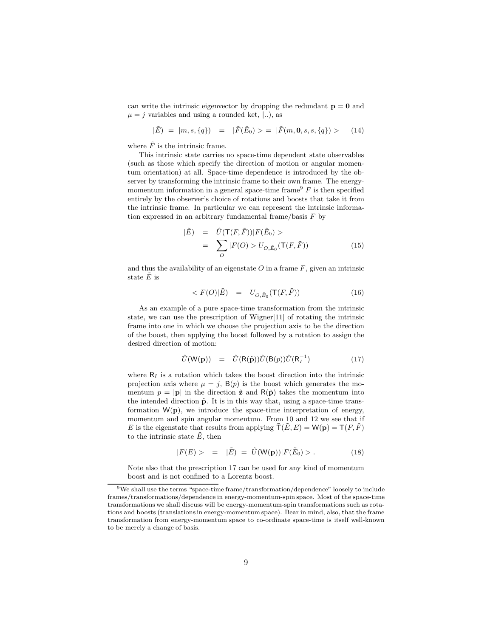can write the intrinsic eigenvector by dropping the redundant  $p = 0$  and  $\mu = j$  variables and using a rounded ket,  $\vert \ldots \rangle$ , as

$$
|\tilde{E}) = |m, s, \{q\}) = |\tilde{F}(\tilde{E}_0) > = |\tilde{F}(m, \mathbf{0}, s, s, \{q\}) > (14)
$$

where  $\tilde{F}$  is the intrinsic frame.

This intrinsic state carries no space-time dependent state observables (such as those which specify the direction of motion or angular momentum orientation) at all. Space-time dependence is introduced by the observer by transforming the intrinsic frame to their own frame. The energymomentum information in a general space-time frame<sup>9</sup>  $F$  is then specified entirely by the observer's choice of rotations and boosts that take it from the intrinsic frame. In particular we can represent the intrinsic information expressed in an arbitrary fundamental frame/basis  $F$  by

$$
|\tilde{E}) = \hat{U}(\mathsf{T}(F,\tilde{F}))|F(\tilde{E}_0) >
$$
  
= 
$$
\sum_{O} |F(O) > U_{O,\tilde{E}_0}(\mathsf{T}(F,\tilde{F}))
$$
(15)

and thus the availability of an eigenstate  $O$  in a frame  $F$ , given an intrinsic state  $E$  is

$$
\langle F(O)|\tilde{E}\rangle = U_{O,\tilde{E}_0}(\mathsf{T}(F,\tilde{F})) \tag{16}
$$

As an example of a pure space-time transformation from the intrinsic state, we can use the prescription of Wigner[11] of rotating the intrinsic frame into one in which we choose the projection axis to be the direction of the boost, then applying the boost followed by a rotation to assign the desired direction of motion:

$$
\hat{U}(\mathsf{W}(\mathbf{p})) = \hat{U}(\mathsf{R}(\hat{\mathbf{p}}))\hat{U}(\mathsf{B}(p))\hat{U}(\mathsf{R}_I^{-1})
$$
\n(17)

where  $R_I$  is a rotation which takes the boost direction into the intrinsic projection axis where  $\mu = j$ ,  $B(p)$  is the boost which generates the momentum  $p = |\mathbf{p}|$  in the direction  $\hat{\mathbf{z}}$  and  $\mathsf{R}(\hat{\mathbf{p}})$  takes the momentum into the intended direction  $\hat{p}$ . It is in this way that, using a space-time transformation  $W(p)$ , we introduce the space-time interpretation of energy, momentum and spin angular momentum. From 10 and 12 we see that if E is the eigenstate that results from applying  $\overline{T}(\tilde{E}, E) = W(\mathbf{p}) = T(F, \tilde{F})$ to the intrinsic state  $\tilde{E}$ , then

$$
|F(E) > = |\tilde{E}) = \hat{U}(\mathsf{W}(\mathbf{p}))|F(\tilde{E}_0) > . \tag{18}
$$

Note also that the prescription 17 can be used for any kind of momentum boost and is not confined to a Lorentz boost.

<sup>&</sup>lt;sup>9</sup>We shall use the terms "space-time frame/transformation/dependence" loosely to include frames/transformations/dependence in energy-momentum-spin space. Most of the space-time transformations we shall discuss will be energy-momentum-spin transformations such as rotations and boosts (translations in energy-momentum space). Bear in mind, also, that the frame transformation from energy-momentum space to co-ordinate space-time is itself well-known to be merely a change of basis.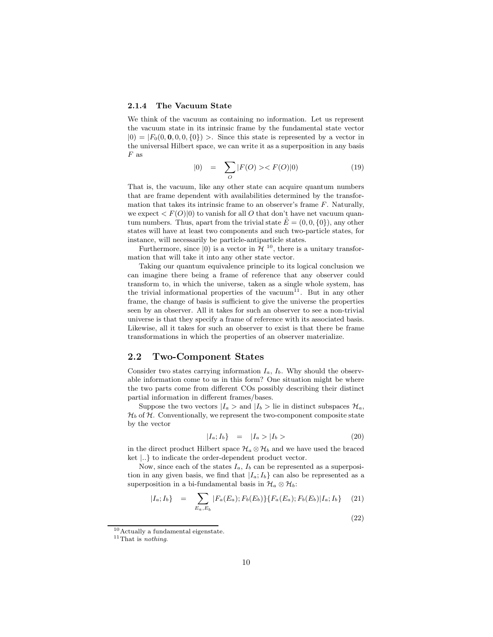#### 2.1.4 The Vacuum State

We think of the vacuum as containing no information. Let us represent the vacuum state in its intrinsic frame by the fundamental state vector  $|0\rangle = |F_0(0, 0, 0, 0, \{0\})\rangle$ . Since this state is represented by a vector in the universal Hilbert space, we can write it as a superposition in any basis  $F$  as

$$
|0\rangle = \sum_{O} |F(O) \rangle \langle F(O)|0\rangle \tag{19}
$$

That is, the vacuum, like any other state can acquire quantum numbers that are frame dependent with availabilities determined by the transformation that takes its intrinsic frame to an observer's frame  $F$ . Naturally, we expect  $\langle F(O)|0\rangle$  to vanish for all O that don't have net vacuum quantum numbers. Thus, apart from the trivial state  $E = (0, 0, \{0\})$ , any other states will have at least two components and such two-particle states, for instance, will necessarily be particle-antiparticle states.

Furthermore, since  $|0\rangle$  is a vector in  $\mathcal{H}^{10}$ , there is a unitary transformation that will take it into any other state vector.

Taking our quantum equivalence principle to its logical conclusion we can imagine there being a frame of reference that any observer could transform to, in which the universe, taken as a single whole system, has the trivial informational properties of the vacuum<sup>11</sup>. But in any other frame, the change of basis is sufficient to give the universe the properties seen by an observer. All it takes for such an observer to see a non-trivial universe is that they specify a frame of reference with its associated basis. Likewise, all it takes for such an observer to exist is that there be frame transformations in which the properties of an observer materialize.

## 2.2 Two-Component States

Consider two states carrying information  $I_a$ ,  $I_b$ . Why should the observable information come to us in this form? One situation might be where the two parts come from different COs possibly describing their distinct partial information in different frames/bases.

Suppose the two vectors  $|I_a\rangle$  and  $|I_b\rangle$  lie in distinct subspaces  $\mathcal{H}_a$ ,  $\mathcal{H}_b$  of  $\mathcal{H}_c$ . Conventionally, we represent the two-component composite state by the vector

$$
|I_a; I_b\rangle = |I_a \rangle |I_b \rangle \tag{20}
$$

(22)

in the direct product Hilbert space  $\mathcal{H}_a \otimes \mathcal{H}_b$  and we have used the braced ket |..} to indicate the order-dependent product vector.

Now, since each of the states  $I_a$ ,  $I_b$  can be represented as a superposition in any given basis, we find that  $|I_a; I_b\rangle$  can also be represented as a superposition in a bi-fundamental basis in  $\mathcal{H}_a \otimes \mathcal{H}_b$ :

$$
|I_a; I_b\} = \sum_{E_a, E_b} |F_a(E_a); F_b(E_b)\} \{F_a(E_a); F_b(E_b)|I_a; I_b\} \quad (21)
$$

<sup>10</sup>Actually a fundamental eigenstate.

 $11$ That is *nothing*.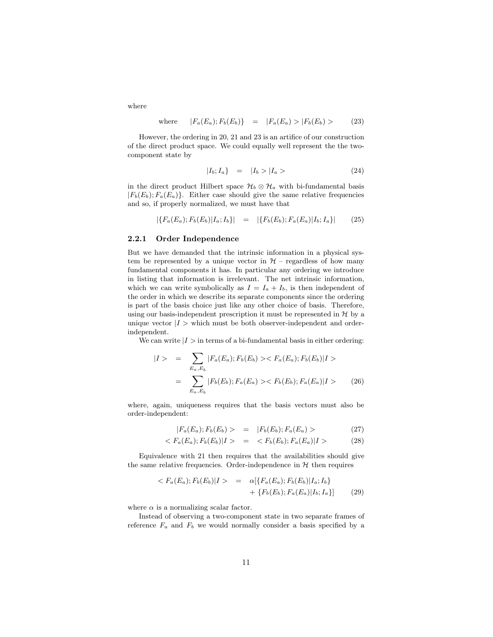where

where 
$$
|F_a(E_a); F_b(E_b)\}\ = |F_a(E_a) \rangle |F_b(E_b) \rangle
$$
 (23)

However, the ordering in 20, 21 and 23 is an artifice of our construction of the direct product space. We could equally well represent the the twocomponent state by

$$
|I_b; I_a\} = |I_b\rangle |I_a\rangle \tag{24}
$$

in the direct product Hilbert space  $\mathcal{H}_b \otimes \mathcal{H}_a$  with bi-fundamental basis  $|F_b(E_b); F_a(E_a)\rangle$ . Either case should give the same relative frequencies and so, if properly normalized, we must have that

$$
|\{F_a(E_a); F_b(E_b)|I_a; I_b\}| = |\{F_b(E_b); F_a(E_a)|I_b; I_a\}| \qquad (25)
$$

### 2.2.1 Order Independence

But we have demanded that the intrinsic information in a physical system be represented by a unique vector in  $H$  – regardless of how many fundamental components it has. In particular any ordering we introduce in listing that information is irrelevant. The net intrinsic information, which we can write symbolically as  $I = I_a + I_b$ , is then independent of the order in which we describe its separate components since the ordering is part of the basis choice just like any other choice of basis. Therefore, using our basis-independent prescription it must be represented in  $H$  by a unique vector  $|I>$  which must be both observer-independent and orderindependent.

We can write  $|I>$  in terms of a bi-fundamental basis in either ordering:

$$
|I\rangle = \sum_{E_a, E_b} |F_a(E_a); F_b(E_b)\rangle \langle F_a(E_a); F_b(E_b)|I\rangle
$$
  
= 
$$
\sum_{E_a, E_b} |F_b(E_b); F_a(E_a)\rangle \langle F_b(E_b); F_a(E_a)|I\rangle \qquad (26)
$$

where, again, uniqueness requires that the basis vectors must also be order-independent:

$$
|F_a(E_a); F_b(E_b) > = |F_b(E_b); F_a(E_a) > \tag{27}
$$

$$
\langle F_a(E_a); F_b(E_b)|I \rangle = \langle F_b(E_b); F_a(E_a)|I \rangle \tag{28}
$$

Equivalence with 21 then requires that the availabilities should give the same relative frequencies. Order-independence in  $H$  then requires

$$
\langle F_a(E_a); F_b(E_b) | I \rangle = \alpha [\{ F_a(E_a); F_b(E_b) | I_a; I_b \} + \{ F_b(E_b); F_a(E_a) | I_b; I_a \} ] \qquad (29)
$$

where  $\alpha$  is a normalizing scalar factor.

Instead of observing a two-component state in two separate frames of reference  $F_a$  and  $F_b$  we would normally consider a basis specified by a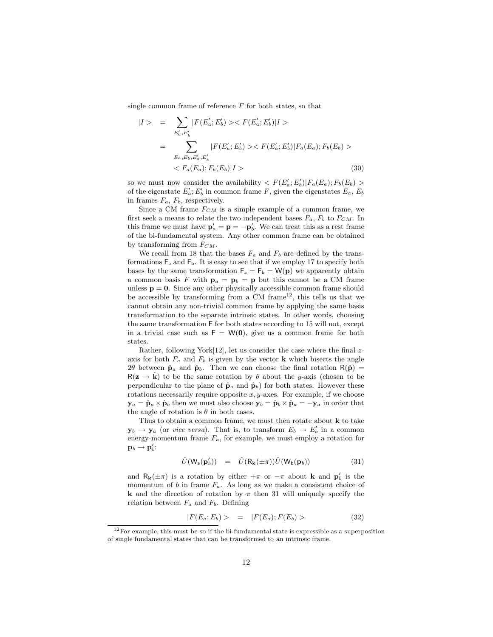single common frame of reference  $F$  for both states, so that

$$
|I\rangle = \sum_{E'_a, E'_b} |F(E'_a; E'_b)\rangle \langle F(E'_a; E'_b)|I\rangle
$$
  
= 
$$
\sum_{E_a, E_b, E'_a, E'_b} |F(E'_a; E'_b)\rangle \langle F(E'_a; E'_b)|F_a(E_a); F_b(E_b)\rangle
$$
  
< 
$$
\langle F_a(E_a); F_b(E_b)|I\rangle
$$
 (30)

so we must now consider the availability  $\langle F(E_a';E_b')|F_a(E_a);F_b(E_b) \rangle$ of the eigenstate  $E_a$ ;  $E_b$  in common frame F, given the eigenstates  $E_a$ ,  $E_b$ in frames  $F_a$ ,  $F_b$ , respectively.

Since a CM frame  $F_{CM}$  is a simple example of a common frame, we first seek a means to relate the two independent bases  $F_a$ ,  $F_b$  to  $F_{CM}$ . In this frame we must have  $\mathbf{p}'_a = \mathbf{p} = -\mathbf{p}'_b$ . We can treat this as a rest frame of the bi-fundamental system. Any other common frame can be obtained by transforming from  $F_{CM}$ .

We recall from 18 that the bases  $F_a$  and  $F_b$  are defined by the transformations  $F_a$  and  $F_b$ . It is easy to see that if we employ 17 to specify both bases by the same transformation  $F_a = F_b = W(p)$  we apparently obtain a common basis F with  $p_a = p_b = p$  but this cannot be a CM frame unless  $p = 0$ . Since any other physically accessible common frame should be accessible by transforming from a  $CM$  frame<sup>12</sup>, this tells us that we cannot obtain any non-trivial common frame by applying the same basis transformation to the separate intrinsic states. In other words, choosing the same transformation F for both states according to 15 will not, except in a trivial case such as  $F = W(0)$ , give us a common frame for both states.

Rather, following York $[12]$ , let us consider the case where the final  $z$ axis for both  $F_a$  and  $F_b$  is given by the vector **k** which bisects the angle 2θ between  $\hat{\mathbf{p}}_a$  and  $\hat{\mathbf{p}}_b$ . Then we can choose the final rotation  $R(\hat{\mathbf{p}})$  =  $R(z \rightarrow \hat{k})$  to be the same rotation by  $\theta$  about the y-axis (chosen to be perpendicular to the plane of  $\hat{\mathbf{p}}_a$  and  $\hat{\mathbf{p}}_b$ ) for both states. However these rotations necessarily require opposite  $x, y$ -axes. For example, if we choose  $y_a = \hat{p}_a \times \hat{p}_b$  then we must also choose  $y_b = \hat{p}_b \times \hat{p}_a = -y_a$  in order that the angle of rotation is  $\theta$  in both cases.

Thus to obtain a common frame, we must then rotate about k to take  $\mathbf{y}_b \to \mathbf{y}_a$  (or *vice versa*). That is, to transform  $E_b \to E'_b$  in a common energy-momentum frame  $F_a$ , for example, we must employ a rotation for  $\mathbf{p}_b \rightarrow \mathbf{p}_b^\prime$ :

$$
\hat{U}(\mathsf{W}_{\mathsf{a}}(\mathbf{p}'_{b})) = \hat{U}(\mathsf{R}_{\mathbf{k}}(\pm \pi))\hat{U}(\mathsf{W}_{\mathsf{b}}(\mathbf{p}_{b})) \tag{31}
$$

and  $R_{\mathbf{k}}(\pm \pi)$  is a rotation by either  $+\pi$  or  $-\pi$  about **k** and  $\mathbf{p}'_b$  is the momentum of b in frame  $F_a$ . As long as we make a consistent choice of **k** and the direction of rotation by  $\pi$  then 31 will uniquely specify the relation between  $F_a$  and  $F_b$ . Defining

$$
|F(E_a; E_b) \rangle = |F(E_a); F(E_b) \rangle \tag{32}
$$

 $12$  For example, this must be so if the bi-fundamental state is expressible as a superposition of single fundamental states that can be transformed to an intrinsic frame.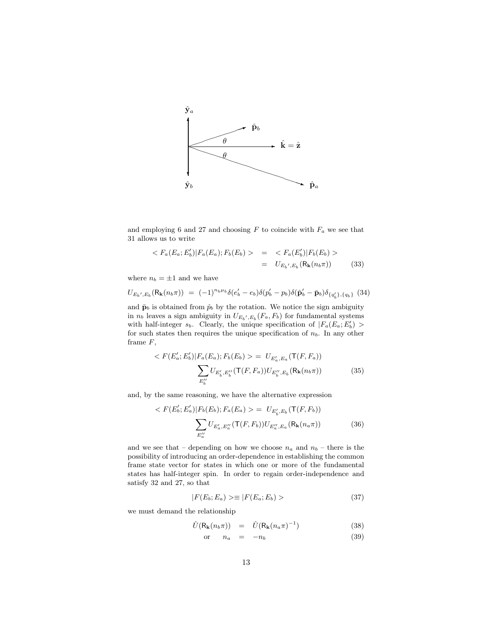

and employing 6 and 27 and choosing  $F$  to coincide with  $F_a$  we see that 31 allows us to write

$$
\langle F_a(E_a; E'_b) | F_a(E_a); F_b(E_b) \rangle = \langle F_a(E'_b) | F_b(E_b) \rangle
$$
  
= 
$$
U_{E_b', E_b}(\mathsf{R}_{\mathbf{k}}(n_b \pi))
$$
(33)

where  $n_b = \pm 1$  and we have

 $<\,$ 

$$
U_{E_b',E_b}(\mathbf{R_k}(n_b\pi)) = (-1)^{n_b\mu_b} \delta(e_b' - e_b) \delta(p_b' - p_b) \delta(\hat{\mathbf{p}}_b' - \bar{\mathbf{p}}_b) \delta_{\{q_b'\},\{q_b\}} \tag{34}
$$

and  $\bar{\mathbf{p}}_b$  is obtained from  $\hat{p}_b$  by the rotation. We notice the sign ambiguity in  $n_b$  leaves a sign ambiguity in  $U_{E_b',E_b}(F_a, F_b)$  for fundamental systems with half-integer  $s_b$ . Clearly, the unique specification of  $|F_a(E_a; E'_b)| >$ for such states then requires the unique specification of  $n<sub>b</sub>$ . In any other frame F,

$$
\langle F(E_a'; E_b') | F_a(E_a); F_b(E_b) \rangle = U_{E_a', E_a}(\mathsf{T}(F, F_a))
$$

$$
\sum_{E_b''} U_{E_b', E_b''}(\mathsf{T}(F, F_a)) U_{E_b'', E_b}(\mathsf{R}_{\mathbf{k}}(n_b \pi))
$$
(35)

and, by the same reasoning, we have the alternative expression

$$
F(E'_b; E'_a)|F_b(E_b); F_a(E_a) > = U_{E'_b, E_b}(\mathsf{T}(F, F_b))
$$

$$
\sum_{E''_a} U_{E'_a, E''_a}(\mathsf{T}(F, F_b)) U_{E''_a, E_a}(\mathsf{R}_{\mathbf{k}}(n_a \pi))
$$
(36)

and we see that – depending on how we choose  $n_a$  and  $n_b$  – there is the possibility of introducing an order-dependence in establishing the common frame state vector for states in which one or more of the fundamental states has half-integer spin. In order to regain order-independence and satisfy 32 and 27, so that

$$
|F(E_b; E_a) \rangle \equiv |F(E_a; E_b) \rangle \tag{37}
$$

we must demand the relationship

$$
\hat{U}(\mathsf{R}_{\mathbf{k}}(n_b \pi)) = \hat{U}(\mathsf{R}_{\mathbf{k}}(n_a \pi)^{-1}) \tag{38}
$$

$$
or \t n_a = -n_b \t (39)
$$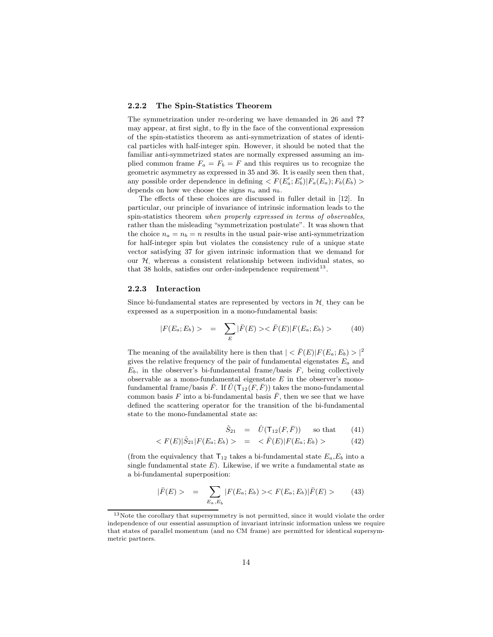#### 2.2.2 The Spin-Statistics Theorem

The symmetrization under re-ordering we have demanded in 26 and ?? may appear, at first sight, to fly in the face of the conventional expression of the spin-statistics theorem as anti-symmetrization of states of identical particles with half-integer spin. However, it should be noted that the familiar anti-symmetrized states are normally expressed assuming an implied common frame  $F_a = F_b = F$  and this requires us to recognize the geometric asymmetry as expressed in 35 and 36. It is easily seen then that, any possible order dependence in defining  $\langle F(E_a';E_b')|F_a(E_a);F_b(E_b)\rangle$ depends on how we choose the signs  $n_a$  and  $n_b$ .

The effects of these choices are discussed in fuller detail in [12]. In particular, our principle of invariance of intrinsic information leads to the spin-statistics theorem when properly expressed in terms of observables, rather than the misleading "symmetrization postulate". It was shown that the choice  $n_a = n_b = n$  results in the usual pair-wise anti-symmetrization for half-integer spin but violates the consistency rule of a unique state vector satisfying 37 for given intrinsic information that we demand for our  $H$ , whereas a consistent relationship between individual states, so that 38 holds, satisfies our order-independence requirement<sup>13</sup>.

#### 2.2.3 Interaction

Since bi-fundamental states are represented by vectors in  $H$ , they can be expressed as a superposition in a mono-fundamental basis:

$$
|F(E_a; E_b) > = \sum_E |\bar{F}(E) >< \bar{F}(E)|F(E_a; E_b) > \tag{40}
$$

The meaning of the availability here is then that  $| \langle \bar{F}(E) | F(E_a; E_b) \rangle |^2$ gives the relative frequency of the pair of fundamental eigenstates  $E_a$  and  $E_b$ , in the observer's bi-fundamental frame/basis  $F$ , being collectively observable as a mono-fundamental eigenstate  $E$  in the observer's monofundamental frame/basis  $\bar{F}$ . If  $\bar{U}(\mathsf{T}_{12}(F,\bar{F}))$  takes the mono-fundamental common basis F into a bi-fundamental basis  $\overline{F}$ , then we see that we have defined the scattering operator for the transition of the bi-fundamental state to the mono-fundamental state as:

$$
\hat{S}_{21} = \hat{U}(\mathsf{T}_{12}(F,\bar{F})) \quad \text{so that} \quad (41)
$$

$$
\langle F(E) | \hat{S}_{21} | F(E_a; E_b) \rangle = \langle \bar{F}(E) | F(E_a; E_b) \rangle \tag{42}
$$

(from the equivalency that  $T_{12}$  takes a bi-fundamental state  $E_a$ ,  $E_b$  into a single fundamental state  $E$ ). Likewise, if we write a fundamental state as a bi-fundamental superposition:

$$
|\bar{F}(E) > = \sum_{E_a, E_b} |F(E_a; E_b) >< F(E_a; E_b)|\bar{F}(E) > \tag{43}
$$

<sup>&</sup>lt;sup>13</sup>Note the corollary that supersymmetry is not permitted, since it would violate the order independence of our essential assumption of invariant intrinsic information unless we require that states of parallel momentum (and no CM frame) are permitted for identical supersymmetric partners.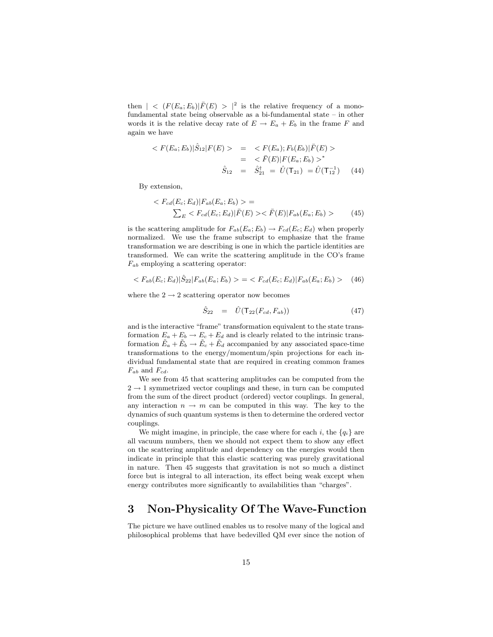then  $| \langle F(E_a; E_b) | \bar{F}(E) \rangle |^2$  is the relative frequency of a monofundamental state being observable as a bi-fundamental state – in other words it is the relative decay rate of  $E \to E_a + E_b$  in the frame F and again we have

$$
\langle F(E_a; E_b) | \hat{S}_{12} | F(E) \rangle = \langle F(E_a); F_b(E_b) | \bar{F}(E) \rangle
$$
  

$$
= \langle \bar{F}(E) | F(E_a; E_b) \rangle^*
$$
  

$$
\hat{S}_{12} = \hat{S}_{21}^{\dagger} = \hat{U}(T_{21}) = \hat{U}(T_{12}^{-1}) \quad (44)
$$

By extension,

$$
\langle F_{cd}(E_c; E_d) | F_{ab}(E_a; E_b) \rangle =
$$
  

$$
\sum_{E} \langle F_{cd}(E_c; E_d) | \bar{F}(E) \rangle \langle \bar{F}(E) | F_{ab}(E_a; E_b) \rangle
$$
 (45)

is the scattering amplitude for  $F_{ab}(E_a; E_b) \rightarrow F_{cd}(E_c; E_d)$  when properly normalized. We use the frame subscript to emphasize that the frame transformation we are describing is one in which the particle identities are transformed. We can write the scattering amplitude in the CO's frame  $F_{ab}$  employing a scattering operator:

$$
\langle F_{ab}(E_c; E_d) | \hat{S}_{22} | F_{ab}(E_a; E_b) \rangle = \langle F_{cd}(E_c; E_d) | F_{ab}(E_a; E_b) \rangle \tag{46}
$$

where the  $2 \rightarrow 2$  scattering operator now becomes

$$
\hat{S}_{22} = \hat{U}(\mathsf{T}_{22}(F_{cd}, F_{ab})) \tag{47}
$$

and is the interactive "frame" transformation equivalent to the state transformation  $E_a + E_b \rightarrow E_c + E_d$  and is clearly related to the intrinsic transformation  $\tilde{E}_a + \tilde{E}_b \rightarrow \tilde{E}_c + \tilde{E}_d$  accompanied by any associated space-time transformations to the energy/momentum/spin projections for each individual fundamental state that are required in creating common frames  $F_{ab}$  and  $F_{cd}$ .

We see from 45 that scattering amplitudes can be computed from the  $2 \rightarrow 1$  symmetrized vector couplings and these, in turn can be computed from the sum of the direct product (ordered) vector couplings. In general, any interaction  $n \to m$  can be computed in this way. The key to the dynamics of such quantum systems is then to determine the ordered vector couplings.

We might imagine, in principle, the case where for each i, the  $\{q_i\}$  are all vacuum numbers, then we should not expect them to show any effect on the scattering amplitude and dependency on the energies would then indicate in principle that this elastic scattering was purely gravitational in nature. Then 45 suggests that gravitation is not so much a distinct force but is integral to all interaction, its effect being weak except when energy contributes more significantly to availabilities than "charges".

# 3 Non-Physicality Of The Wave-Function

The picture we have outlined enables us to resolve many of the logical and philosophical problems that have bedevilled QM ever since the notion of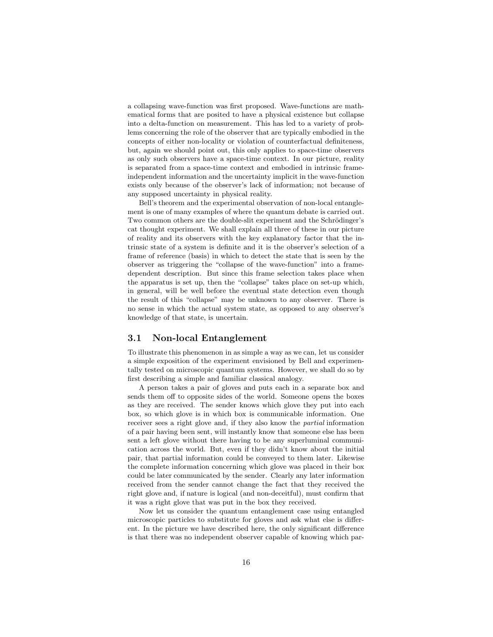a collapsing wave-function was first proposed. Wave-functions are mathematical forms that are posited to have a physical existence but collapse into a delta-function on measurement. This has led to a variety of problems concerning the role of the observer that are typically embodied in the concepts of either non-locality or violation of counterfactual definiteness, but, again we should point out, this only applies to space-time observers as only such observers have a space-time context. In our picture, reality is separated from a space-time context and embodied in intrinsic frameindependent information and the uncertainty implicit in the wave-function exists only because of the observer's lack of information; not because of any supposed uncertainty in physical reality.

Bell's theorem and the experimental observation of non-local entanglement is one of many examples of where the quantum debate is carried out. Two common others are the double-slit experiment and the Schrödinger's cat thought experiment. We shall explain all three of these in our picture of reality and its observers with the key explanatory factor that the intrinsic state of a system is definite and it is the observer's selection of a frame of reference (basis) in which to detect the state that is seen by the observer as triggering the "collapse of the wave-function" into a framedependent description. But since this frame selection takes place when the apparatus is set up, then the "collapse" takes place on set-up which, in general, will be well before the eventual state detection even though the result of this "collapse" may be unknown to any observer. There is no sense in which the actual system state, as opposed to any observer's knowledge of that state, is uncertain.

### 3.1 Non-local Entanglement

To illustrate this phenomenon in as simple a way as we can, let us consider a simple exposition of the experiment envisioned by Bell and experimentally tested on microscopic quantum systems. However, we shall do so by first describing a simple and familiar classical analogy.

A person takes a pair of gloves and puts each in a separate box and sends them off to opposite sides of the world. Someone opens the boxes as they are received. The sender knows which glove they put into each box, so which glove is in which box is communicable information. One receiver sees a right glove and, if they also know the partial information of a pair having been sent, will instantly know that someone else has been sent a left glove without there having to be any superluminal communication across the world. But, even if they didn't know about the initial pair, that partial information could be conveyed to them later. Likewise the complete information concerning which glove was placed in their box could be later communicated by the sender. Clearly any later information received from the sender cannot change the fact that they received the right glove and, if nature is logical (and non-deceitful), must confirm that it was a right glove that was put in the box they received.

Now let us consider the quantum entanglement case using entangled microscopic particles to substitute for gloves and ask what else is different. In the picture we have described here, the only significant difference is that there was no independent observer capable of knowing which par-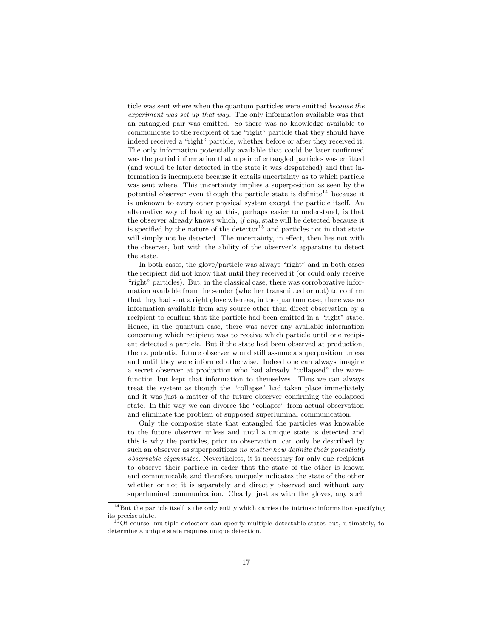ticle was sent where when the quantum particles were emitted because the experiment was set up that way. The only information available was that an entangled pair was emitted. So there was no knowledge available to communicate to the recipient of the "right" particle that they should have indeed received a "right" particle, whether before or after they received it. The only information potentially available that could be later confirmed was the partial information that a pair of entangled particles was emitted (and would be later detected in the state it was despatched) and that information is incomplete because it entails uncertainty as to which particle was sent where. This uncertainty implies a superposition as seen by the potential observer even though the particle state is definite <sup>14</sup> because it is unknown to every other physical system except the particle itself. An alternative way of looking at this, perhaps easier to understand, is that the observer already knows which,  $if any$ , state will be detected because it is specified by the nature of the detector<sup>15</sup> and particles not in that state will simply not be detected. The uncertainty, in effect, then lies not with the observer, but with the ability of the observer's apparatus to detect the state.

In both cases, the glove/particle was always "right" and in both cases the recipient did not know that until they received it (or could only receive "right" particles). But, in the classical case, there was corroborative information available from the sender (whether transmitted or not) to confirm that they had sent a right glove whereas, in the quantum case, there was no information available from any source other than direct observation by a recipient to confirm that the particle had been emitted in a "right" state. Hence, in the quantum case, there was never any available information concerning which recipient was to receive which particle until one recipient detected a particle. But if the state had been observed at production, then a potential future observer would still assume a superposition unless and until they were informed otherwise. Indeed one can always imagine a secret observer at production who had already "collapsed" the wavefunction but kept that information to themselves. Thus we can always treat the system as though the "collapse" had taken place immediately and it was just a matter of the future observer confirming the collapsed state. In this way we can divorce the "collapse" from actual observation and eliminate the problem of supposed superluminal communication.

Only the composite state that entangled the particles was knowable to the future observer unless and until a unique state is detected and this is why the particles, prior to observation, can only be described by such an observer as superpositions no matter how definite their potentially observable eigenstates. Nevertheless, it is necessary for only one recipient to observe their particle in order that the state of the other is known and communicable and therefore uniquely indicates the state of the other whether or not it is separately and directly observed and without any superluminal communication. Clearly, just as with the gloves, any such

 $^{14}\rm{But}$  the particle itself is the only entity which carries the intrinsic information specifying its precise state.

 $15$ Of course, multiple detectors can specify multiple detectable states but, ultimately, to determine a unique state requires unique detection.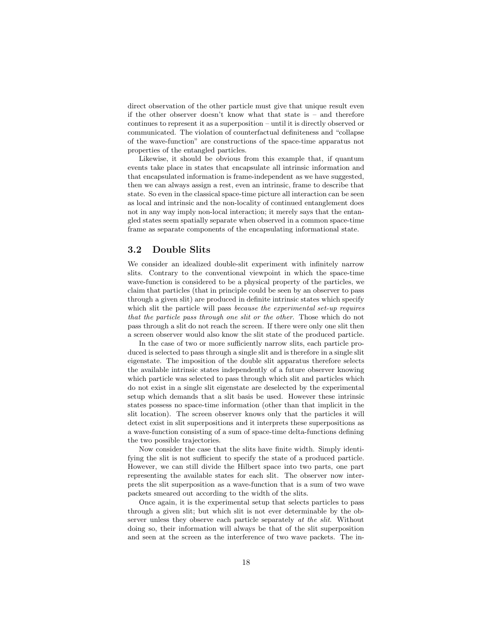direct observation of the other particle must give that unique result even if the other observer doesn't know what that state is – and therefore continues to represent it as a superposition – until it is directly observed or communicated. The violation of counterfactual definiteness and "collapse of the wave-function" are constructions of the space-time apparatus not properties of the entangled particles.

Likewise, it should be obvious from this example that, if quantum events take place in states that encapsulate all intrinsic information and that encapsulated information is frame-independent as we have suggested, then we can always assign a rest, even an intrinsic, frame to describe that state. So even in the classical space-time picture all interaction can be seen as local and intrinsic and the non-locality of continued entanglement does not in any way imply non-local interaction; it merely says that the entangled states seem spatially separate when observed in a common space-time frame as separate components of the encapsulating informational state.

### 3.2 Double Slits

We consider an idealized double-slit experiment with infinitely narrow slits. Contrary to the conventional viewpoint in which the space-time wave-function is considered to be a physical property of the particles, we claim that particles (that in principle could be seen by an observer to pass through a given slit) are produced in definite intrinsic states which specify which slit the particle will pass because the experimental set-up requires that the particle pass through one slit or the other. Those which do not pass through a slit do not reach the screen. If there were only one slit then a screen observer would also know the slit state of the produced particle.

In the case of two or more sufficiently narrow slits, each particle produced is selected to pass through a single slit and is therefore in a single slit eigenstate. The imposition of the double slit apparatus therefore selects the available intrinsic states independently of a future observer knowing which particle was selected to pass through which slit and particles which do not exist in a single slit eigenstate are deselected by the experimental setup which demands that a slit basis be used. However these intrinsic states possess no space-time information (other than that implicit in the slit location). The screen observer knows only that the particles it will detect exist in slit superpositions and it interprets these superpositions as a wave-function consisting of a sum of space-time delta-functions defining the two possible trajectories.

Now consider the case that the slits have finite width. Simply identifying the slit is not sufficient to specify the state of a produced particle. However, we can still divide the Hilbert space into two parts, one part representing the available states for each slit. The observer now interprets the slit superposition as a wave-function that is a sum of two wave packets smeared out according to the width of the slits.

Once again, it is the experimental setup that selects particles to pass through a given slit; but which slit is not ever determinable by the observer unless they observe each particle separately at the slit. Without doing so, their information will always be that of the slit superposition and seen at the screen as the interference of two wave packets. The in-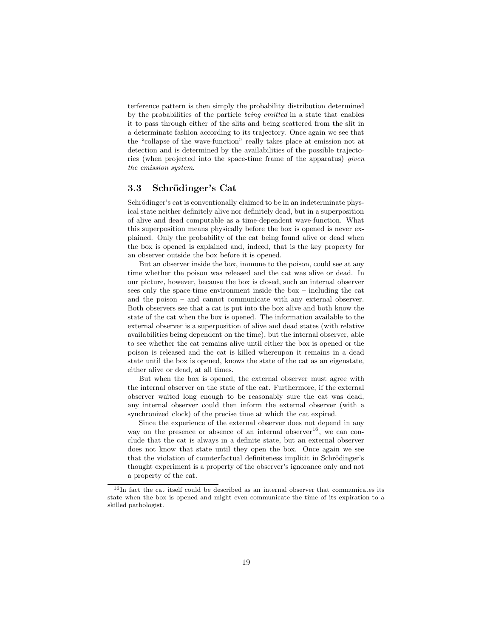terference pattern is then simply the probability distribution determined by the probabilities of the particle being emitted in a state that enables it to pass through either of the slits and being scattered from the slit in a determinate fashion according to its trajectory. Once again we see that the "collapse of the wave-function" really takes place at emission not at detection and is determined by the availabilities of the possible trajectories (when projected into the space-time frame of the apparatus) given the emission system.

### 3.3 Schrödinger's Cat

Schrödinger's cat is conventionally claimed to be in an indeterminate physical state neither definitely alive nor definitely dead, but in a superposition of alive and dead computable as a time-dependent wave-function. What this superposition means physically before the box is opened is never explained. Only the probability of the cat being found alive or dead when the box is opened is explained and, indeed, that is the key property for an observer outside the box before it is opened.

But an observer inside the box, immune to the poison, could see at any time whether the poison was released and the cat was alive or dead. In our picture, however, because the box is closed, such an internal observer sees only the space-time environment inside the box – including the cat and the poison – and cannot communicate with any external observer. Both observers see that a cat is put into the box alive and both know the state of the cat when the box is opened. The information available to the external observer is a superposition of alive and dead states (with relative availabilities being dependent on the time), but the internal observer, able to see whether the cat remains alive until either the box is opened or the poison is released and the cat is killed whereupon it remains in a dead state until the box is opened, knows the state of the cat as an eigenstate, either alive or dead, at all times.

But when the box is opened, the external observer must agree with the internal observer on the state of the cat. Furthermore, if the external observer waited long enough to be reasonably sure the cat was dead, any internal observer could then inform the external observer (with a synchronized clock) of the precise time at which the cat expired.

Since the experience of the external observer does not depend in any way on the presence or absence of an internal observer<sup>16</sup>, we can conclude that the cat is always in a definite state, but an external observer does not know that state until they open the box. Once again we see that the violation of counterfactual definiteness implicit in Schrödinger's thought experiment is a property of the observer's ignorance only and not a property of the cat.

 $16$ In fact the cat itself could be described as an internal observer that communicates its state when the box is opened and might even communicate the time of its expiration to a skilled pathologist.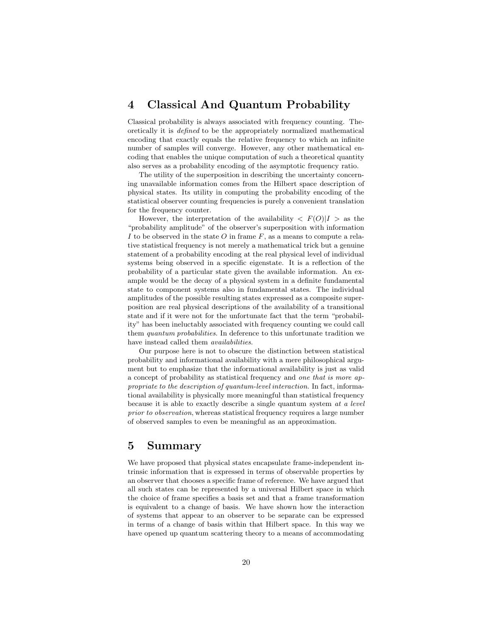# 4 Classical And Quantum Probability

Classical probability is always associated with frequency counting. Theoretically it is defined to be the appropriately normalized mathematical encoding that exactly equals the relative frequency to which an infinite number of samples will converge. However, any other mathematical encoding that enables the unique computation of such a theoretical quantity also serves as a probability encoding of the asymptotic frequency ratio.

The utility of the superposition in describing the uncertainty concerning unavailable information comes from the Hilbert space description of physical states. Its utility in computing the probability encoding of the statistical observer counting frequencies is purely a convenient translation for the frequency counter.

However, the interpretation of the availability  $\langle F(O)|I\rangle$  as the "probability amplitude" of the observer's superposition with information I to be observed in the state O in frame  $F$ , as a means to compute a relative statistical frequency is not merely a mathematical trick but a genuine statement of a probability encoding at the real physical level of individual systems being observed in a specific eigenstate. It is a reflection of the probability of a particular state given the available information. An example would be the decay of a physical system in a definite fundamental state to component systems also in fundamental states. The individual amplitudes of the possible resulting states expressed as a composite superposition are real physical descriptions of the availability of a transitional state and if it were not for the unfortunate fact that the term "probability" has been ineluctably associated with frequency counting we could call them *quantum probabilities*. In deference to this unfortunate tradition we have instead called them *availabilities*.

Our purpose here is not to obscure the distinction between statistical probability and informational availability with a mere philosophical argument but to emphasize that the informational availability is just as valid a concept of probability as statistical frequency and one that is more appropriate to the description of quantum-level interaction. In fact, informational availability is physically more meaningful than statistical frequency because it is able to exactly describe a single quantum system at a level prior to observation, whereas statistical frequency requires a large number of observed samples to even be meaningful as an approximation.

# 5 Summary

We have proposed that physical states encapsulate frame-independent intrinsic information that is expressed in terms of observable properties by an observer that chooses a specific frame of reference. We have argued that all such states can be represented by a universal Hilbert space in which the choice of frame specifies a basis set and that a frame transformation is equivalent to a change of basis. We have shown how the interaction of systems that appear to an observer to be separate can be expressed in terms of a change of basis within that Hilbert space. In this way we have opened up quantum scattering theory to a means of accommodating